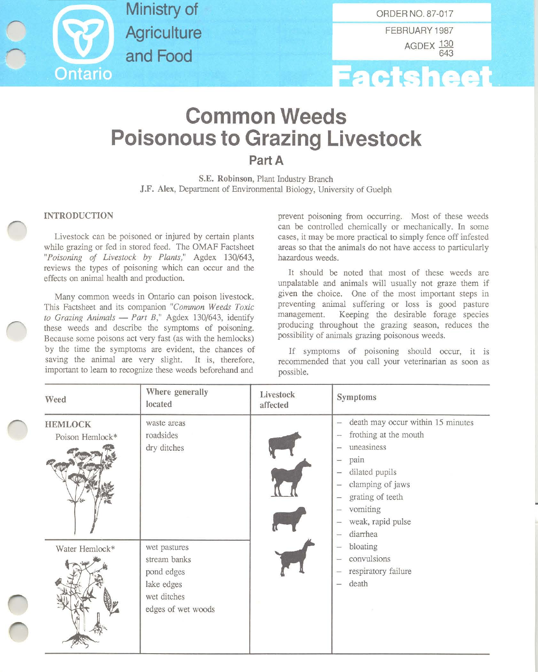

**Ministry of Agriculture and Food**

**----I** FEBRUARY 1987 AGDEX 130 643



## **Common Weeds Poisonous to Grazing Livestock**

Part A

S.E. Robinson, Plant Industry Branch J.F. Alex, Department of Environmental Biology, University of Guelph

## INTRODUCTION

Livestock can be poisoned or injured by certain plants while grazing or fed in stored feed. The OMAF Factsheet *"Poisoning of Livestock by Plants,"* Agdex *130/643,* **reviews the types of poisoning which can occur and the** effects on animal health and production.

**Many corrunon weeds in Ontario can poison livestock.** This Factsheet and its companion *"Common Weeds Toxic to Grazing Animals* - *Part B,"* Agdex *130/643,* identify these weeds and describe the symptoms of poisoning. Because some poisons act very fast (as with the hemlocks) by the time the symptoms are evident, the chances of **saving the animal are very slight. It is, therefore,** important to learn to recognize these weeds beforehand and

**prevent poisoning from occurring. Most of these weeds** can be controlled chemically or mechanically. In some cases, it may be more practical to simply fence off infested **areas so that the animals do not have access to particularly** hazardous weeds.

It should be noted that most of these weeds are unpalatable and animals will usually not graze them if **given the choice. One of the most important steps in** preventing animal suffering or loss is good pasture management. Keeping the desirable forage species producing throughout the grazing season, reduces the possibility of animals grazing poisonous weeds.

If symptoms of poisoning should occur, it is **recommended that you call your veterinarian as soon as** possible.

| Weed                              | Where generally<br>located                                                                    | Livestock<br>affected | Symptoms                                                                                                                                                                                                                                                                                                 |
|-----------------------------------|-----------------------------------------------------------------------------------------------|-----------------------|----------------------------------------------------------------------------------------------------------------------------------------------------------------------------------------------------------------------------------------------------------------------------------------------------------|
| <b>HEMLOCK</b><br>Poison Hemlock* | waste areas<br>roadsides<br>dry ditches                                                       |                       | death may occur within 15 minutes<br>frothing at the mouth<br>$\overline{\phantom{0}}$<br>uneasiness<br>pain<br>$\overline{\phantom{a}}$<br>dilated pupils<br>$\overline{\phantom{m}}$<br>clamping of jaws<br>$\equiv$<br>grating of teeth<br>$\rightarrow$<br>vomiting<br>weak, rapid pulse<br>diarrhea |
| Water Hemlock*                    | wet pastures<br>stream banks<br>pond edges<br>lake edges<br>wet ditches<br>edges of wet woods |                       | bloating<br>convulsions<br>$\overline{\phantom{0}}$<br>respiratory failure<br>death<br>-                                                                                                                                                                                                                 |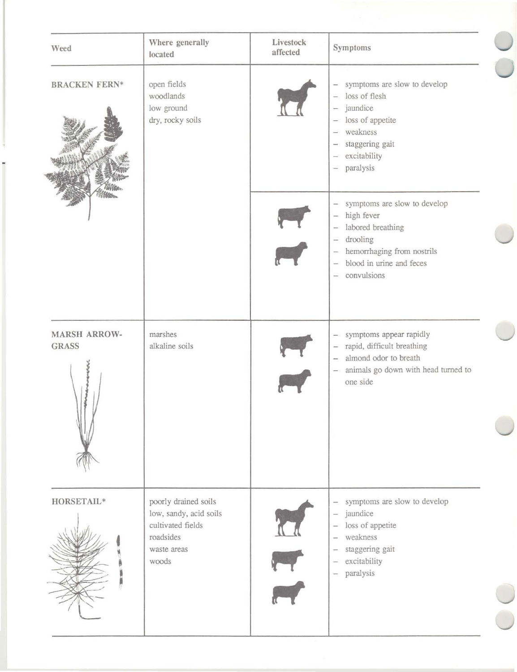| Weed                                | Where generally<br>located                                                                               | Livestock<br>affected | Symptoms                                                                                                                                                                                                                                                                                                                      |
|-------------------------------------|----------------------------------------------------------------------------------------------------------|-----------------------|-------------------------------------------------------------------------------------------------------------------------------------------------------------------------------------------------------------------------------------------------------------------------------------------------------------------------------|
| <b>BRACKEN FERN*</b>                | open fields<br>woodlands<br>low ground<br>dry, rocky soils                                               |                       | symptoms are slow to develop<br>$\overline{\phantom{0}}$<br>loss of flesh<br>$\overline{\phantom{0}}$<br>jaundice<br>$\equiv$<br>loss of appetite<br>weakness<br>$\overline{\phantom{0}}$<br>staggering gait<br>$\overline{\phantom{a}}$<br>excitability<br>$\overline{\phantom{a}}$<br>paralysis<br>$\overline{\phantom{a}}$ |
|                                     |                                                                                                          |                       | symptoms are slow to develop<br>$\overline{\phantom{a}}$<br>high fever<br>$\overline{\phantom{a}}$<br>labored breathing<br>drooling<br>$\overline{\phantom{a}}$<br>hemorrhaging from nostrils<br>$\overline{\phantom{m}}$<br>blood in urine and feces<br>$\overline{\phantom{0}}$<br>convulsions<br>$\frac{1}{2}$             |
| <b>MARSH ARROW-</b><br><b>GRASS</b> | marshes<br>alkaline soils                                                                                |                       | symptoms appear rapidly<br>$\equiv$<br>rapid, difficult breathing<br>$\overline{\phantom{m}}$<br>almond odor to breath<br>$\overline{\phantom{a}}$<br>animals go down with head turned to<br>$\overline{\phantom{0}}$<br>one side                                                                                             |
| HORSETAIL*                          | poorly drained soils<br>low, sandy, acid soils<br>cultivated fields<br>roadsides<br>waste areas<br>woods |                       | symptoms are slow to develop<br>$\overline{\phantom{0}}$<br>jaundice<br>$\overline{\phantom{a}}$<br>loss of appetite<br>weakness<br>staggering gait<br>-<br>excitability<br>$\overline{\phantom{0}}$<br>paralysis<br>$\equiv$                                                                                                 |
|                                     |                                                                                                          |                       |                                                                                                                                                                                                                                                                                                                               |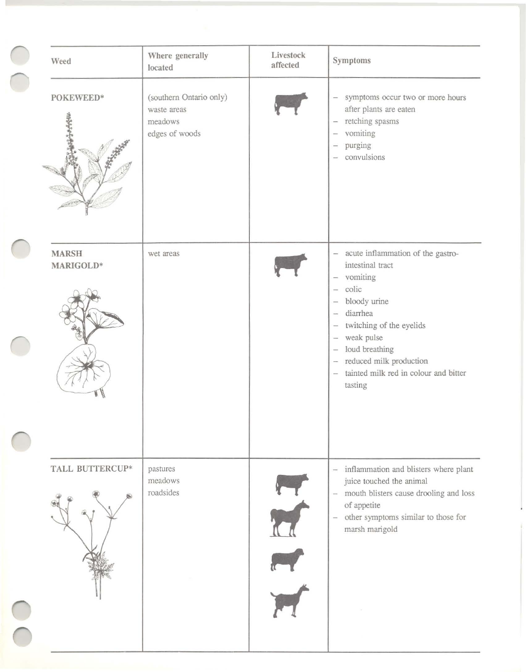| Weed                          | Where generally<br>located                                          | Livestock<br>affected | Symptoms                                                                                                                                                                                                                                                                      |
|-------------------------------|---------------------------------------------------------------------|-----------------------|-------------------------------------------------------------------------------------------------------------------------------------------------------------------------------------------------------------------------------------------------------------------------------|
| POKEWEED*<br><b>Highlight</b> | (southern Ontario only)<br>waste areas<br>meadows<br>edges of woods |                       | symptoms occur two or more hours<br>$\overline{\phantom{0}}$<br>after plants are eaten<br>retching spasms<br>$\overline{\phantom{a}}$<br>vomiting<br>$\overline{\phantom{0}}$<br>purging<br>$\equiv$<br>convulsions                                                           |
| <b>MARSH</b><br>MARIGOLD*     | wet areas                                                           |                       | - acute inflammation of the gastro-<br>intestinal tract<br>vomiting<br>$\overline{\phantom{a}}$<br>colic<br>$\overline{\phantom{0}}$<br>bloody urine<br>$\equiv$                                                                                                              |
|                               |                                                                     |                       | diarrhea<br>$\overline{\phantom{0}}$<br>twitching of the eyelids<br>$\overline{\phantom{0}}$<br>weak pulse<br>$\overline{\phantom{a}}$<br>loud breathing<br>-<br>reduced milk production<br>-<br>tainted milk red in colour and bitter<br>$\overline{\phantom{a}}$<br>tasting |
|                               |                                                                     |                       |                                                                                                                                                                                                                                                                               |
| TALL BUTTERCUP*               | pastures<br>meadows<br>roadsides                                    |                       | inflammation and blisters where plant<br>$\equiv$<br>juice touched the animal<br>- mouth blisters cause drooling and loss<br>of appetite<br>other symptoms similar to those for<br>$\overline{\phantom{0}}$<br>marsh marigold                                                 |
|                               |                                                                     |                       |                                                                                                                                                                                                                                                                               |